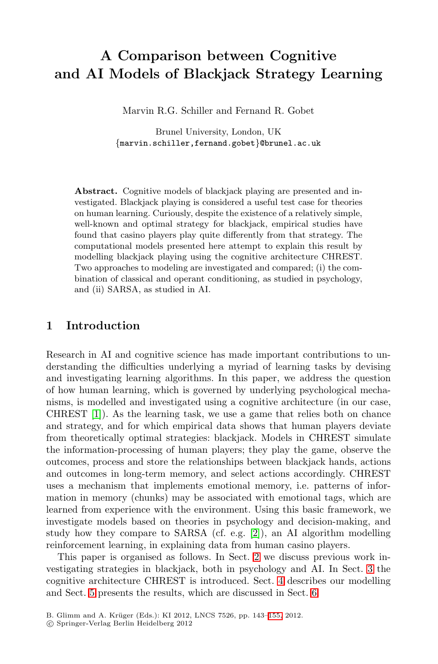# **A Comparison between Cognitive and AI Models of Blackjack Strategy Learning**

Marvin R.G. Schiller and Fernand R. Gobet

Brunel University, London, UK *{*marvin.schiller,fernand.gobet*}*@brunel.ac.uk

Abstract. Cognitive models of blackjack playing are presented and investigated. Blackjack playing is considered a useful test case for theories on human learning. Curiously, despite the existence of a relatively simple, well-known and optimal strategy for blackjack, empirical studies have found that casino players play quite differently from that strategy. The computational models presented here attempt to explain this result by modelling blackjack playing using the cognitive architecture CHREST. Two approaches to modeling are investigated and compared; (i) the combination of classical and operant conditioning, as studied in psychology, and (ii) SARSA, as studied in AI.

# **1 Introduction**

Research in AI and cognitive science has made important contributions to understanding the difficulties underlying a myriad of learning tasks by devising and investigating learning algorithms. In this paper, we address the question of how human learning, which is governed by underlying psychological mechanisms, is modelled and investigated using a cognitive architecture (in our case, CHREST [1]). As the learning task, we use a game that relies both on chance and strategy, and for which empirical data shows that human players deviate from theoretically optimal st[ra](#page-11-0)tegies: blackjack. Models in CHREST simulate the information-processing of human players; they play the game, observe the outcomes, process and store t[he](#page-1-0) relationships between blackjack hands, actions and outcomes in long-term memory, and select action[s a](#page-3-0)ccordingly. CHREST uses a mechanism that implement[s](#page-3-1) emotional memory, i.e. patterns of information in memory (chunks) may be associ[at](#page-10-0)ed with emotional tags, which are learned from experience with the environment. Using this basic framework, we investigate models based on the[orie](#page-12-0)s in psychology and decision-making, and study how they compare to SARSA (cf. e.g. [2]), an AI algorithm modelling reinforcement learning, in explaining data from human casino players.

This paper is organised as follows. In Sect. 2 we discuss previous work investigating strategies in blackjack, both in psychology and AI. In Sect. 3 the cognitive architecture CHREST is introduced. Sect. 4 describes our modelling and Sect. 5 presents the results, which are discussed in Sect. 6.

B. Glimm and A. Krüger (Eds.): KI 2012, LNCS 7526, pp. 143-155, 2012.

<sup>-</sup>c Springer-Verlag Berlin Heidelberg 2012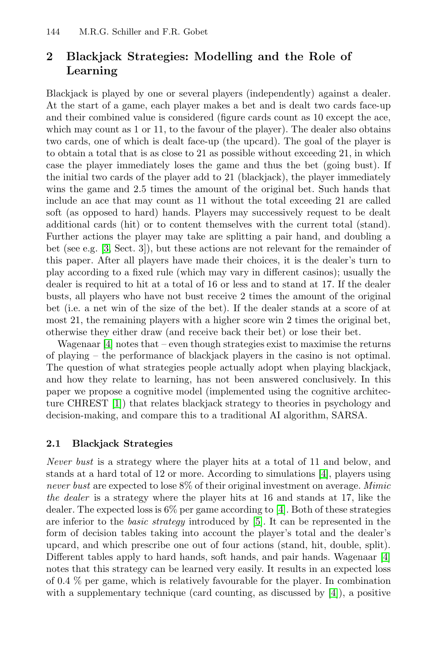# <span id="page-1-0"></span>**2 Blackjack Strategies: Modelling and the Role of Learning**

Blackjack is played by one or several players (independently) against a dealer. At the start of a game, each player makes a bet and is dealt two cards face-up and their combined value is considered (figure cards count as 10 except the ace, which may count as 1 or 11, to the favour of the player). The dealer also obtains two cards, one of which is dealt face-up (the upcard). The goal of the player is to obtain a total that is as close to 21 as possible without exceeding 21, in which case the player immediately loses the game and thus the bet (going bust). If the initial two cards of the player add to 21 (blackjack), the player immediately wins the game and 2.5 times the amount of the original bet. Such hands that include an ace that may count as 11 without the total exceeding 21 are called soft (as opposed to hard) hands. Players may successively request to be dealt additional cards (hit) or to content themselves with the current total (stand). Further actions the player may take are splitting a pair hand, and doubling a bet (see e.g. [3, Sect. 3]), but these actions are not relevant for the remainder of this paper. After all players have made their choices, it is the dealer's turn to play according to a fixed rule (which may vary in different casinos); usually the dealer is required to hit at a total of 16 or less and to stand at 17. If the dealer busts, all players who have not bust receive 2 times the amount of the original bet (i.e. a net win of the size of the bet). If the dealer stands at a score of at most 21, the remaining players with a higher score win 2 times the original bet, otherwise they either draw (and receive back their bet) or lose their bet.

Wagenaar  $[4]$  notes that – even though strategies exist to maximise the returns of playing – the performance of blackjack players in the casino is not optimal. The question of what strategies people actually adopt when playing blackjack, and how they relate to learning, has not b[een](#page-11-1) answered conclusively. In this paper we propose a cognitive model (implemented using the cognitive architecture CHREST [1]) that relates blackjack strategy to theories in psychology and decision-making, and compare this [to](#page-11-1) a traditional AI algorithm, SARSA.

#### **2.1 Blackjack Strategies**

*Never bust* is a strategy where the player hits at a total o[f 1](#page-11-1)1 and below, and stands at a hard total of 12 or more. According to simulations [4], players using *never bust* are expected to lose 8% of their original investment on average. *Mimic the dealer* is a strategy where the player hits [at](#page-11-1) 16 and stands at 17, like the dealer. The expected loss is  $6\%$  per game according to [4]. Both of these strategies are inferior to the *basic strategy* introduced by [5]. It can be represented in the form of decision tables taking into account the player's total and the dealer's upcard, and which prescribe one out of four actions (stand, hit, double, split). Different tables apply to hard hands, soft hands, and pair hands. Wagenaar [4] notes that this strategy can be learned very easily. It results in an expected loss of 0.4 % per game, which is relatively favourable for the player. In combination with a supplementary technique (card counting, as discussed by [4]), a positive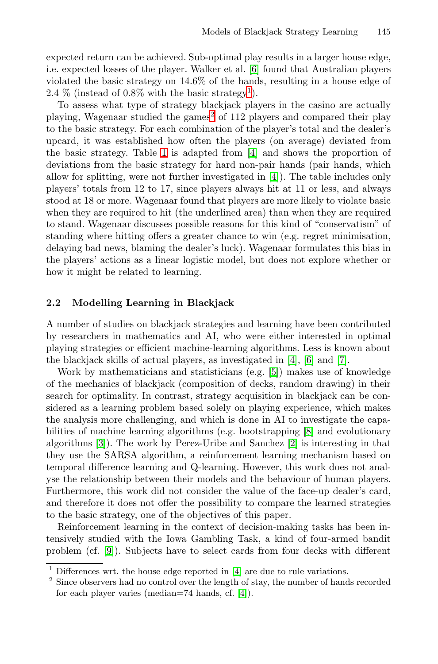expecte[d r](#page-9-0)eturn can be achie[ved](#page-11-1). Sub-optimal play results in a larger house edge, i.e. expected losses of the player. Walker et al. [6] found that Australian players violated the basic strategy on 14.[6%](#page-11-1) of the hands, resulting in a house edge of 2.4 % (instead of 0.8% with the basic strategy<sup>1</sup>).

<span id="page-2-0"></span>To assess what type of strategy blackjack players in the casino are actually playing, Wagenaar studied the games<sup>2</sup> of  $112$  players and compared their play to the basic strategy. For each combination of the player's total and the dealer's upcard, it was established how often the players (on average) deviated from the basic strategy. Table 1 is adapted from [4] and shows the proportion of deviations from the basic strategy for hard non-pair hands (pair hands, which allow for splitting, were not further investigated in [4]). The table includes only players' totals from 12 to 17, since players always hit at 11 or less, and always stood at 18 or more. Wagenaar found that players are more likely to violate basic when they are required to hit (the underlined area) than when they are required to stand. Wagenaar discusses possible reasons for this kind of "conservatism" of standing where hitting offers a greater chance to win (e.g. regret minimisation, delaying bad news, blaming the dealer's luck). Wagenaar formulates this bias in the players' actions as a linear logisti[c](#page-11-1) [m](#page-11-1)[od](#page-11-2)el, bu[t](#page-11-3) does not explore whether or how it might be related to learni[ng.](#page-11-4)

#### **2.2 Modelling Learning in Blackjack**

A number of studies on blackjack strategies and learning have been contributed by researchers in mathematics and AI, [wh](#page-11-5)o were either interested in optimal playing strategies or efficient machine[-le](#page-11-0)arning algorithms. Less is known about the blackjack skills of actual players, as investigated in [4], [6] and [7].

Work by mathematicians and statisticians (e.g. [5]) makes use of knowledge of the mechanics of blackjack (composition of decks, random drawing) in their search for optimality. In contrast, strategy acquisition in blackjack can be considered as a learning problem based solely on playing experience, which makes the analysis more challenging, and which is done in AI to investigate the capabilities of machine learning algorithms (e.g. bootstrapping [8] and evolutionary algorithms [3]). The work by Perez-Uribe and Sanchez [2] is interesting in that they use the SARSA algorithm, a reinforcement learning mechanism based on temporal difference learning and Q-learning. However, this work does not analyse the relationship betw[ee](#page-11-1)n their models and the behaviour of human players. Furthermore, this work did not consider the value of the face-up dealer's card, and therefore it does not [off](#page-11-1)er the possibility to compare the learned strategies to the basic strategy, one of the objectives of this paper.

Reinforcement learning in the context of decision-making tasks has been intensively studied with the Iowa Gambling Task, a kind of four-armed bandit problem (cf. [9]). Subjects have to select cards from four decks with different

<sup>&</sup>lt;sup>1</sup> Differences wrt. the house edge reported in [4] are due to rule variations.<br><sup>2</sup> Since observers had no control over the length of stay, the number of hand

<sup>2</sup> Since observers had no control over the length of stay, the number of hands recorded for each player varies (median=74 hands, cf. [4]).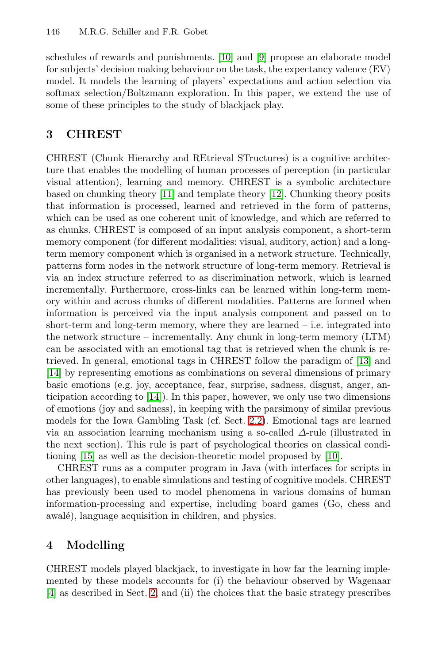<span id="page-3-0"></span>schedules of rewards and punishments. [10] and [9] propose an elaborate model for subjects' decision making behaviour on the task, the expectancy valence (EV) model. It models the learning of players' expectations and action selection via softmax selection/Boltzmann exploration. In this paper, we extend the use of some of [the](#page-12-1)se principles to the st[udy](#page-12-2) of blackjack play.

# **3 CHREST**

CHREST (Chunk Hierarchy and REtrieval STructures) is a cognitive architecture that enables the modelling of human processes of perception (in particular visual attention), learning and memory. CHREST is a symbolic architecture based on chunking theory [11] and template theory [12]. Chunking theory posits that information is processed, learned and retrieved in the form of patterns, which can be used as one coherent unit of knowledge, and which are referred to as chunks. CHREST is composed of an input analysis component, a short-term memory component (for different modalities: visual, auditory, action) and a longterm memory component which is organised in a network structure. Technically, patterns form nodes in the network structure of long-[term](#page-12-3) memory. Retrieval is via an index structure referred to as discrimination network, which is learned incrementally. Furthermore, cross-links can be learned within long-term memory [with](#page-12-4)in and across chunks of different modalities. Patterns are formed when information is perceived via the input analysis component and passed on to short-term and long-term m[emo](#page-2-0)ry, where they are learned  $-$  i.e. integrated into the network structure – incrementally. Any chunk in long-term memory (LTM) can be associated with an emotional tag that is retrieved when the chunk is retrieved. In general, emotional tags in CHRES[T fo](#page-11-6)llow the paradigm of [13] and [14] by representing emotions as combinations on several dimensions of primary basic emotions (e.g. joy, acceptance, fear, surprise, sadness, disgust, anger, anticipation according to [14]). In this paper, however, we only use two dimensions of emotions (joy and sadness), in keeping with the parsimony of similar previous models for the Iowa Gambling Task (cf. Sect. 2.2). Emotional tags are learned via an association learning mechanism using a so-called  $\Delta$ -rule (illustrated in the next section). This rule is part of psychological theories on classical conditioning [15] as well as the decision-theoretic model proposed by [10].

<span id="page-3-1"></span>CHREST runs as a computer program in Java (with interfaces for scripts in other languages), to enable simulations and testing of cognitive models. CHREST has previously been used to model phenomena in various domains of human infor[ma](#page-1-0)tion-processing and expertise, including board games (Go, chess and awalé), language acquisition in children, and physics.

# **4 Modelling**

CHREST models played blackjack, to investigate in how far the learning implemented by these models accounts for (i) the behaviour observed by Wagenaar [4] as described in Sect. 2, and (ii) the choices that the basic strategy prescribes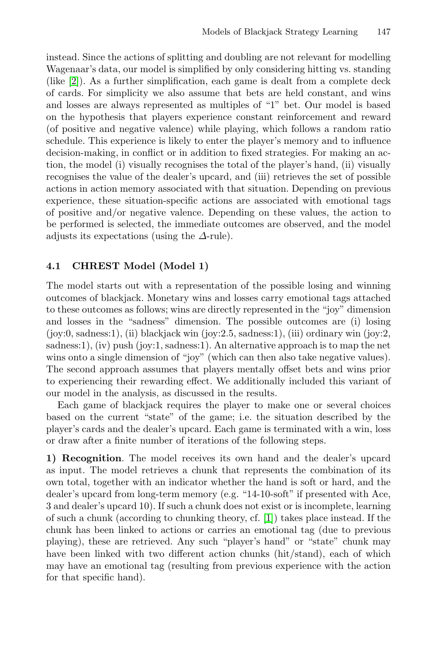instead. Since the actions of splitting and doubling are not relevant for modelling Wagenaar's data, our model is simplified by only considering hitting vs. standing (like [2]). As a further simplification, each game is dealt from a complete deck of cards. For simplicity we also assume that bets are held constant, and wins and losses are always represented as multiples of "1" bet. Our model is based on the hypothesis that players experience constant reinforcement and reward (of positive and negative valence) while playing, which follows a random ratio schedule. This experience is likely to enter the player's memory and to influence decision-making, in conflict or in addition to fixed strategies. For making an action, the model (i) visually recognises the total of the player's hand, (ii) visually recognises the value of the dealer's upcard, and (iii) retrieves the set of possible actions in action memory associated with that situation. Depending on previous experience, these situation-specific actions are associated with emotional tags of positive and/or negative valence. Depending on these values, the action to be performed is selected, the immediate outcomes are observed, and the model adjusts its expectations (using the  $\Delta$ -rule).

#### **4.1 CHREST Model (Model 1)**

The model starts out with a representation of the possible losing and winning outcomes of blackjack. Monetary wins and losses carry emotional tags attached to these outcomes as follows; wins are directly represented in the "joy" dimension and losses in the "sadness" dimension. The possible outcomes are (i) losing  $(ioy:0, \text{sadness}:1)$ , (ii) blackjack win  $(ioy:2.5, \text{sadness}:1)$ , (iii) ordinary win  $(ioy:2,$ sadness:1), (iv) push (joy:1, sadness:1). An alternative approach is to map the net wins onto a single dimension of "joy" (which can then also take negative values). The second approach assumes that players mentally offset bets and wins prior to experiencing their rewarding effect. We additionally included this variant of our model in the analysis, as discussed in the results.

Each game of blackjack requires the player to make one or several choices based on the current "state" of the game; i.e. the situation described by the player's cards and the dealer's u[pc](#page-11-7)ard. Each game is terminated with a win, loss or draw after a finite number of iterations of the following steps.

**1) Recognition**. The model receives its own hand and the dealer's upcard as input. The model retrieves a chunk that represents the combination of its own total, together with an indicator whether the hand is soft or hard, and the dealer's upcard from long-term memory (e.g. "14-10-soft" if presented with Ace, 3 and dealer's upcard 10). If such a chunk does not exist or is incomplete, learning of such a chunk (according to chunking theory, cf. [1]) takes place instead. If the chunk has been linked to actions or carries an emotional tag (due to previous playing), these are retrieved. Any such "player's hand" or "state" chunk may have been linked with two different action chunks (hit/stand), each of which may have an emotional tag (resulting from previous experience with the action for that specific hand).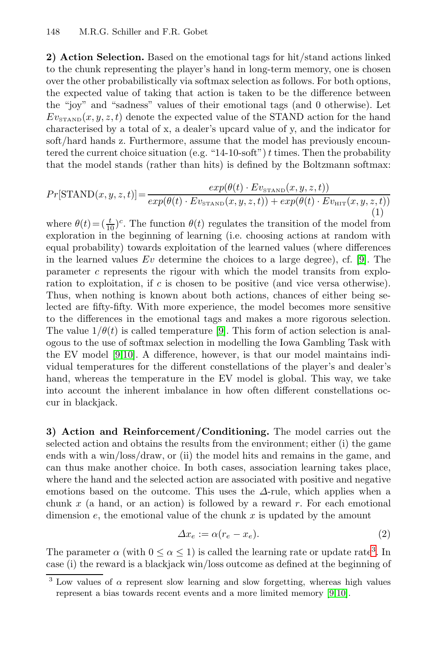**2) Action Selection.** Based on the emotional tags for hit/stand actions linked to the chunk representing the player's hand in long-term memory, one is chosen over the other probabilistically via softmax selection as follows. For both options, the expected value of taking that action is taken to be the difference between the "joy" and "sadness" values of their emotional tags (and 0 otherwise). Let  $Ev_{STAND}(x, y, z, t)$  denote the expected value of the STAND action for the hand characterised by a total of x, a dealer's upcard value of y, and the indicator for soft/hard hands z. Furthermore, assume that the model has previously encountered the current choice situation (e.g. "14-10-soft")  $t$  times. Then the probability that the model stands (rather than hits) is defined b[y t](#page-11-8)he Boltzmann softmax:

$$
Pr[\text{STAND}(x, y, z, t)] = \frac{exp(\theta(t) \cdot Ev_{\text{STAND}}(x, y, z, t))}{exp(\theta(t) \cdot Ev_{\text{STAND}}(x, y, z, t)) + exp(\theta(t) \cdot Ev_{\text{HIT}}(x, y, z, t))}
$$
\n(1)

where  $\theta(t) = (\frac{t}{10})^c$ . The function  $\theta(t)$  regulates the transition of the model from exploration in the be[gi](#page-11-8)nning of learning (i.e. choosing actions at random with equal probability) towards exploitation of the learned values (where differences [in](#page-11-6) the learned values  $Ev$  determine the choices to a large degree), cf. [9]. The parameter c represents the rigour with which the model transits from exploration to exploitation, if  $c$  is chosen to be positive (and vice versa otherwise). Thus, when nothing is known about both actions, chances of either being selected are fifty-fifty. With more experience, the model becomes more sensitive to the differences in the emotional tags and makes a more rigorous selection. The value  $1/\theta(t)$  is called temperature [9]. This form of action selection is analogous to the use of softmax selection in modelling the Iowa Gambling Task with the EV model [9,10]. A difference, however, is that our model maintains individual temperatures for the different constellations of the player's and dealer's hand, whereas the temperature in the EV model is global. This way, we take into account the inherent imbalance in how often different constellations occur in blackjack.

<span id="page-5-0"></span>**3) Action and Reinforcement/Conditioning.** The model carries out the selected action and obtains the results from the environment; either (i) the game ends with a win/loss/draw, or (ii) the model hits and re[ma](#page-5-0)ins in the game, and can thus make another choice. In both cases, association learning takes place, where the hand and the selected action are associated with positive and negative emotions based on the outcome. This uses the  $\Delta$ -rule, which applies when a chunk  $x$  (a hand, or [a](#page-11-8)n action) is followed by a [re](#page-11-6)ward  $r$ . For each emotional dimension  $e$ , the emotional value of the chunk x is updated by the amount

$$
\Delta x_e := \alpha (r_e - x_e). \tag{2}
$$

The parameter  $\alpha$  (with  $0 \leq \alpha \leq 1$ ) is called the learning rate or update rate<sup>3</sup>. In case (i) the reward is a blackjack win/loss outcome as defined at the beginning of

Low values of  $\alpha$  represent slow learning and slow forgetting, whereas high values represent a bias towards recent events and a more limited memory [9,10].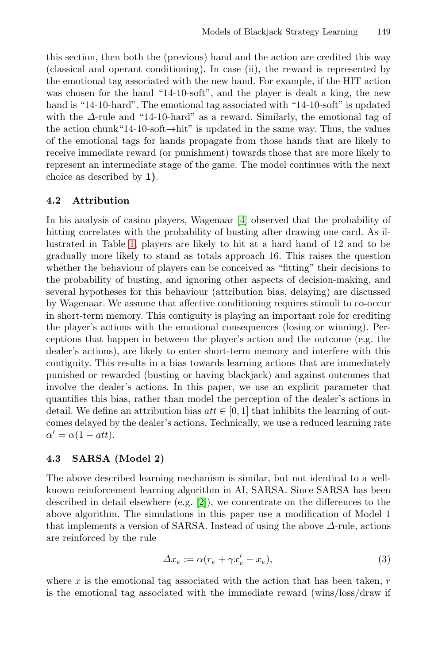this section, then both the (previous) hand and the action are credited this way (classical and operant conditioning). In case (ii), the reward is represented by the emotional tag associated with the new hand. For example, if the HIT action was chosen for the hand "14-10-soft", and the player is dealt a king, the new hand is "14-10-hard". The emotional tag associated with "14-10-soft" is updated with the  $\Delta$ -rule and "14-10-hard" as a reward. Similarly, the emotional tag of the action chunk"14-10-so[ft](#page-11-1) $\rightarrow$ hit" is updated in the same way. Thus, the values of the emotional tags for hands propagate from those hands that are likely to r[ec](#page-9-0)eive immediate reward (or punishment) towards those that are more likely to represent an intermediate stage of the game. The model continues with the next choice as described by **1)**.

#### **4.2 Attribution**

In his analysis of casino players, Wagenaar [4] observed that the probability of hitting correlates with the probability of busting after drawing one card. As illustrated in Table 1, players are likely to hit at a hard hand of 12 and to be gradually more likely to stand as totals approach 16. This raises the question whether the behaviour of players can be conceived as "fitting" their decisions to the probability of busting, and ignoring other aspects of decision-making, and several hypotheses for this behaviour (attribution bias, delaying) are discussed by Wagenaar. We assume that affective conditioning requires stimuli to co-occur in short-term memory. This contiguity is playing an important role for crediting the player's actions with the emotional consequences (losing or winning). Perceptions that happen in between the player's action and the outcome (e.g. the dealer's actions), are likely to enter short-term memory and interfere with this contiguity. This results in a bias towards learning actions that are immediately punished or rewarded (busting or having blackjack) and against outcomes that involve the dealer's actions. In this paper, we use an explicit parameter that quantifies this bias, rather than model the perception of the dealer's actions in detail. We define [an](#page-11-0) attribution bias  $att \in [0, 1]$  that inhibits the learning of outcomes delayed by the dealer's actions. Technically, we use a reduced learning rate  $\alpha' = \alpha(1 - att).$ 

#### **4.3 SARSA (Model 2)**

The above described learning mechanism is similar, but not identical to a wellknown reinforcement learning algorithm in AI, SARSA. Since SARSA has been described in detail elsewhere (e.g. [2]), we concentrate on the differences to the above algorithm. The simulations in this paper use a modification of Model 1 that implements a version of SARSA. Instead of using the above  $\Delta$ -rule, actions are reinforced by the rule

$$
\Delta x_e := \alpha (r_e + \gamma x'_e - x_e),\tag{3}
$$

where  $x$  is the emotional tag associated with the action that has been taken,  $r$ is the emotional tag associated with the immediate reward (wins/loss/draw if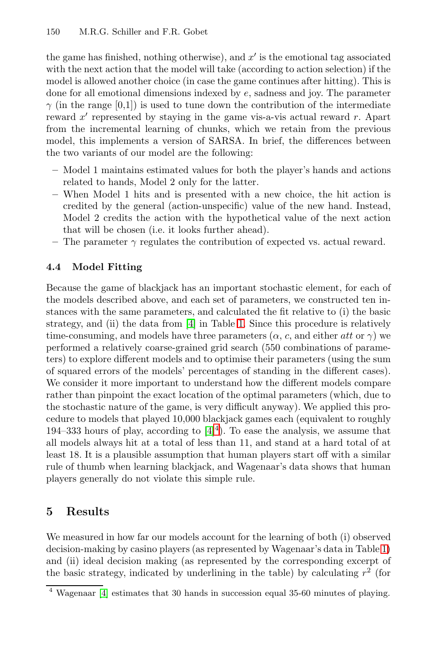the game has finished, nothing otherwise), and  $x'$  is the emotional tag associated with the next action that the model will take (according to action selection) if the model is allowed another choice (in case the game continues after hitting). This is done for all emotional dimensions indexed by e, sadness and joy. The parameter  $\gamma$  (in the range [0,1]) is used to tune down the contribution of the intermediate reward  $x'$  represented by staying in the game vis-a-vis actual reward r. Apart from the incremental learning of chunks, which we retain from the previous model, this implements a version of SARSA. In brief, the differences between the two variants of our model are the following:

- **–** Model 1 maintains estimated values for both the player's hands and actions related to hands, Model 2 only for the latter.
- **–** When Model 1 hits and is presented with a new choice, the hit action is credited by the general (action-unspecific) value of the new hand. Instead, Model 2 credits the action with the hypothetical value of the next action that will b[e](#page-11-1) chosen (i.[e.](#page-9-0) it looks further ahead).
- The parameter  $\gamma$  regulates the contribution of expected vs. actual reward.

### **4.4 Model Fitting**

Because the game of blackjack has an important stochastic element, for each of the models described above, and each set of parameters, we constructed ten instances with the same parameters, and calculated the fit relative to (i) the basic strategy, and (ii) the data from [4] in Table 1. Since this procedure is relatively time-consuming, a[nd](#page-11-1) [m](#page-7-0)odels have three parameters  $(\alpha, c, \text{ and either} \textit{att} \text{ or } \gamma)$  we performed a relatively coarse-grained grid search (550 combinations of parameters) to explore different models and to optimise their parameters (using the sum of squared errors of the models' percentages of standing in the different cases). We consider it more important to understand how the different models compare rather than pinpoint the exact location of the optimal parameters (which, due to the stochastic nature of the game, is very difficult anyway). We applied this procedure to models that played 10,000 blackjack games each (equivalent to roughly 194–333 hours of play, according to  $[4]^4$ ). To ease the analysis, we assume that all models always hit at a total of less than 11, and stand at a hard total of at least 18. It is a plausible assumption that human players st[ar](#page-9-0)t off with a similar rule of thumb when learning blackjack, and Wagenaar's data shows that human players generally do not violate this simple rule.

## <span id="page-7-0"></span>**5 Results**

We measured in how far our models account for the learning of both (i) observed decision-making by casino players (as represented by Wagenaar's data in Table 1) and (ii) ideal decision making (as represented by the corresponding excerpt of the basic strategy, indicated by underlining in the table) by calculating  $r^2$  (for

<sup>4</sup> Wagenaar [4] estimates that 30 hands in succession equal 35-60 minutes of playing.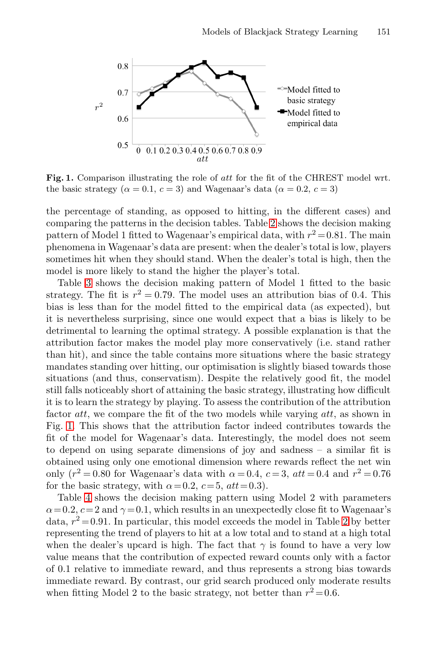

Fig. 1. Comparison illustrating the role of *att* for the fit of the CHREST model wrt. the basic strategy ( $\alpha = 0.1$ ,  $c = 3$ ) and Wagenaar's data ( $\alpha = 0.2$ ,  $c = 3$ )

the percentage of standing, as opposed to hitting, in the different cases) and comparing the patterns in the decision tables. Table 2 shows the decision making pattern of Model 1 fitted to Wagenaar's empirical data, with  $r^2 = 0.81$ . The main phenomena in Wagenaar's data are present: when the dealer's total is low, players sometimes hit when they should stand. When the dealer's total is high, then the model is more likely to stand the higher the player's total.

Table 3 shows the decision making pattern of Model 1 fitted to the basic strategy. The fit is  $r^2 = 0.79$ . The model uses an attribution bias of 0.4. This bias is less than for the model fitted to the empirical data (as expected), but it is nevertheless surprising, since one would expect that a bias is likely to be detrimental to learning the optimal strategy. A possible explanation is that the attribution factor makes the model play more conservatively (i.e. stand rather than hit), and since the table contains more situations where the basic strategy mandates standing over hitting, our optimisation is slightly biased towards those situations (and thus, conservatism). Despite the relatively good fit, the model still falls noticeably short of attaining the basic strategy, illustrating how difficult it is to learn the strategy by playing. To assess the contribution of the attribution factor att, we compare the fit of the two models while varying att, as shown in Fig. 1. This shows that the attribution factor in[de](#page-9-1)ed contributes towards the fit of the model for Wagenaar's data. Interestingly, the model does not seem to depend on using separate dimensions of joy and sadness – a similar fit is obtained using only one emotional dimension where rewards reflect the net win only  $(r^2 = 0.80$  for Wagenaar's data with  $\alpha = 0.4$ ,  $c = 3$ ,  $att = 0.4$  and  $r^2 = 0.76$ for the basic strategy, with  $\alpha = 0.2$ ,  $c = 5$ ,  $att = 0.3$ ).

Table 4 shows the decision making pattern using Model 2 with parameters  $\alpha = 0.2$ ,  $c=2$  and  $\gamma = 0.1$ , which results in an unexpectedly close fit to Wagenaar's data,  $r^2 = 0.91$ . In particular, this model exceeds the model in Table 2 by better representing the trend of players to hit at a low total and to stand at a high total when the dealer's upcard is high. The fact that  $\gamma$  is found to have a very low value means that the contribution of expected reward counts only with a factor of 0.1 relative to immediate reward, and thus represents a strong bias towards immediate reward. By contrast, our grid search produced only moderate results when fitting Model 2 to the basic strategy, not better than  $r^2 = 0.6$ .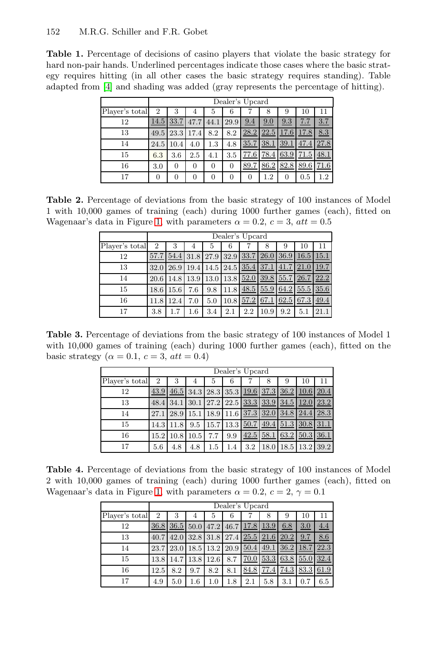<span id="page-9-1"></span><span id="page-9-0"></span>**Table 1.** Percentage of decisions of casino players that violate the basic strategy for hard non-pair hands. Underlined percentages indicate those cases where the basic strategy requires hitting (in all other cases the basic strategy requires standing). Table adapted from [4] and shading was added (gray represents the percentage of hitting).

|                | Dealer's Upcard |      |          |      |          |      |         |      |      |      |
|----------------|-----------------|------|----------|------|----------|------|---------|------|------|------|
| Player's total | 2               | 3    | 4        | 5    | 6        |      | 8       | 9    | 10   | 11   |
| 12             | 14.5            | 33.7 | 47.7     | 44.1 | 29.9     | 9.4  | 9.0     | 9.3  | 7.7  | 3.7  |
| 13             | 49.5            | 23.3 | 17.4     | 8.2  | 8.2      | 28.2 | 22.5    | 17.6 | 17.8 | 8.3  |
| 14             | 24.5            | 10.4 | 4.0      | 1.3  | 4.8      | 35.7 | 38.1    | 39.1 | 47.4 | 27.8 |
| 15             | 6.3             | 3.6  | 2.5      | 4.1  | 3.5      | 77.6 | 78.4    | 63.9 | 71.5 | 48.1 |
| 16             | 3.0             | 0    | $\Omega$ | 0    | $\theta$ | 89.7 | 86.2    | 82.8 | 89.6 | 71.6 |
| 17             | $\Omega$        | 0    | 0        | 0    | 0        | 0    | $1.2\,$ | 0    | 0.5  | 1.2. |

**Table 2.** Percentage of deviations from the basic strategy of 100 instances of Model 1 with 10,000 games of training (each) during 1000 further games (each), fitted on Wagenaar's data in Figure 1, with parameters  $\alpha = 0.2$ ,  $c = 3$ ,  $att = 0.5$ 

|                | Dealer's Upcard |      |         |      |      |      |      |      |      |      |
|----------------|-----------------|------|---------|------|------|------|------|------|------|------|
| Player's total | $\overline{2}$  | 3    | 4       | 5    | 6    |      | 8    | 9    | 10   |      |
| 12             | 57.7            | 54.4 | 31.8    | 27.9 | 32.9 | 33.7 | 26.0 | 36.9 | 16.5 | 15.1 |
| 13             | 32.0            | 26.9 | 19.4    | 14.5 | 24.5 | 35.4 | 37.1 | 41.7 | 21.0 | 19.7 |
| 14             | 20.6            | 14.8 | 13.9    | 13.0 | 13.8 | 52.0 | 39.8 | 55.7 | 26.7 | 22.2 |
| 15             | 18.6            | 15.6 | 7.6     | 9.8  | 11.8 | 48.5 | 55.9 | 64.2 | 55.5 | 35.6 |
| 16             | 11.8            | 12.4 | 7.0     | 5.0  | 10.8 | 57.2 | 67.1 | 62.5 | 67.3 | 49.4 |
| 17             | 3.8             |      | $1.6\,$ | 3.4  | 2.1  | 2.2  | 10.9 | 9.2  | 5.1  | 21.1 |

**Table 3.** Percentage of deviations from the basic strategy of 100 instances of Model 1 with 10,000 games of training (each) during 1000 further games (each), fitted on the basic strategy ( $\alpha = 0.1$ ,  $c = 3$ ,  $att = 0.4$ )

|                | Dealer's Upcard |      |      |      |      |      |      |      |      |      |
|----------------|-----------------|------|------|------|------|------|------|------|------|------|
| Player's total | $\overline{2}$  | 3    | 4    | 5    | 6    |      | 8    |      | 10   | 11   |
| 12             | 43.9            | 46.5 | 34.3 | 28.3 | 35.3 | 19.6 | 37.3 | 36.2 | 10.6 | 20.4 |
| 13             | 48.4            | 34.1 | 30.1 | 27.2 | 22.5 | 33.3 | 33.9 | 34.5 | 12.0 | 23.2 |
| 14             | 27.1            | 28.9 | 15.1 | 18.9 | 11.6 | 37.3 | 32.0 | 34.8 | 24.4 | 28.3 |
| 15             | 14.3            | 11.8 | 9.5  | 15.7 | 13.3 | 50.7 | 49.4 | 51.3 | 30.8 | 31.1 |
| 16             | 15.2            | 10.8 | 10.5 | 7.7  | 9.9  | 42.5 | 58.1 | 63.2 | 50.3 | 36.1 |
| 17             | 5.6             | 4.8  | 4.8  | 1.5  | 1.4  | 3.2  | 18.0 | 18.5 | 13.2 | 39.2 |

**Table 4.** Percentage of deviations from the basic strategy of 100 instances of Model 2 with 10,000 games of training (each) during 1000 further games (each), fitted on Wagenaar's data in Figure 1, with parameters  $\alpha = 0.2, c = 2, \gamma = 0.1$ 

|                |      | Dealer's Upcard |         |         |         |      |      |      |      |            |  |
|----------------|------|-----------------|---------|---------|---------|------|------|------|------|------------|--|
| Player's total | 2    |                 | 4       | 5       | 6       |      | 8    | 9    | 10   | 11         |  |
| 12             | 36.8 | 36.5            | 50.0    | 47.2    | 46.7    | 17.8 | 13.9 | 6.8  | 3.0  | <u>4.4</u> |  |
| 13             | 40.7 | 42.0            | 32.8    | 31.8    | 27.4    | 25.5 | 21.6 | 20.2 | 9.7  | 8.6        |  |
| 14             | 23.7 | 23.0            | 18.5    | 13.2    | 20.9    | 50.4 | 49.1 | 36.2 | 18.7 | 22.3       |  |
| 15             | 13.8 | 14.7            | 13.8    | 12.6    | 8.7     | 70.0 | 53.3 | 63.8 | 55.0 | 32.4       |  |
| 16             | 12.5 | 8.2             | 9.7     | 8.2     | 8.1     | 84.8 | 77.4 | 74.3 | 83.3 | 61.9       |  |
| 17             | 4.9  | 5.0             | $1.6\,$ | $1.0\,$ | $1.8\,$ | 2.1  | 5.8  | 3.1  | 0.7  | 6.5        |  |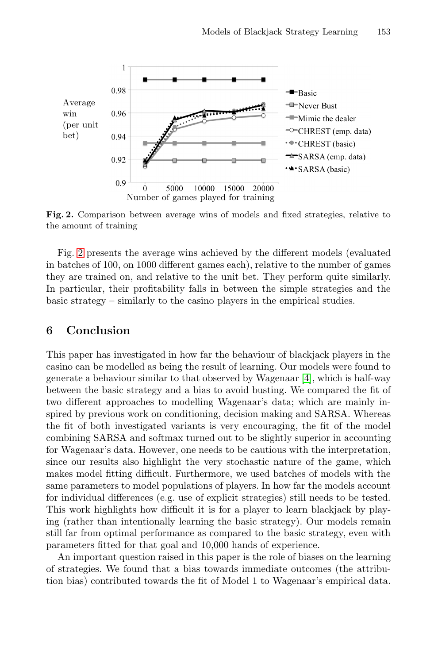

<span id="page-10-0"></span>**Fig. 2.** Comparison between average wins of models and fixed strategies, relative to the amount of training

Fig. 2 presents the average wins achieved by the different models (evaluated in batches of 100, on 1000 different games each), relative to the number of games they are trained on, and relative to the unit bet. They perform quite similarly. In particular, their profitability falls in [be](#page-11-1)tween the simple strategies and the basic strategy – similarly to the casino players in the empirical studies.

# **6 Conclusion**

This paper has investigated in how far the behaviour of blackjack players in the casino can be modelled as being the result of learning. Our models were found to generate a behaviour similar to that observed by Wagenaar [4], which is half-way between the basic strategy and a bias to avoid busting. We compared the fit of two different approaches to modelling Wagenaar's data; which are mainly inspired by previous work on conditioning, decision making and SARSA. Whereas the fit of both investigated variants is very encouraging, the fit of the model combining SARSA and softmax turned out to be slightly superior in accounting for Wagenaar's data. However, one needs to be cautious with the interpretation, since our results also highlight the very stochastic nature of the game, which makes model fitting difficult. Furthermore, we used batches of models with the same parameters to model populations of players. In how far the models account for individual differences (e.g. use of explicit strategies) still needs to be tested. This work highlights how difficult it is for a player to learn blackjack by playing (rather than intentionally learning the basic strategy). Our models remain still far from optimal performance as compared to the basic strategy, even with parameters fitted for that goal and 10,000 hands of experience.

An important question raised in this paper is the role of biases on the learning of strategies. We found that a bias towards immediate outcomes (the attribution bias) contributed towards the fit of Model 1 to Wagenaar's empirical data.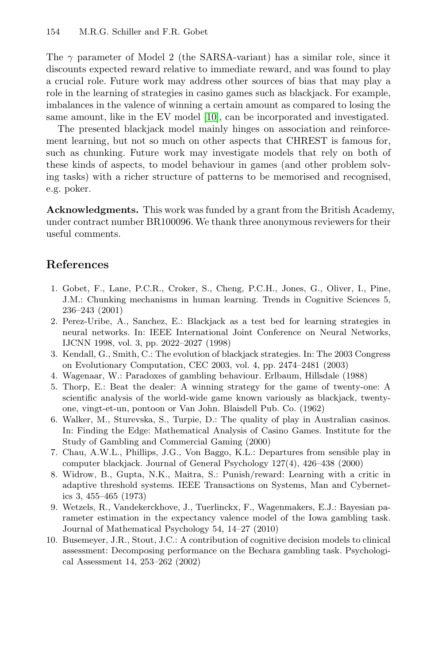The  $\gamma$  parameter of Model 2 (the SARSA-variant) has a similar role, since it discounts expected reward relative to immediate reward, and was found to play a crucial role. Future work may address other sources of bias that may play a role in the learning of strategies in casino games such as blackjack. For example, imbalances in the valence of winning a certain amount as compared to losing the same amount, like in the EV model [10], can be incorporated and investigated.

<span id="page-11-7"></span><span id="page-11-0"></span>The presented blackjack model mainly hinges on association and reinforcement learning, but not so much on other aspects that CHREST is famous for, such as chunking. Future work may investigate models that rely on both of these kinds of aspects, to model behaviour in games (and other problem solving tasks) with a richer structure of patterns to be memorised and recognised, e.g. poker.

<span id="page-11-4"></span><span id="page-11-2"></span><span id="page-11-1"></span>**Acknowledgments.** This work was funded by a grant from the British Academy, under contract number BR100096. We thank three anonymous reviewers for their useful comments.

# <span id="page-11-3"></span>**References**

- <span id="page-11-5"></span>1. Gobet, F., Lane, P.C.R., Croker, S., Cheng, P.C.H., Jones, G., Oliver, I., Pine, J.M.: Chunking mechanisms in human learning. Trends in Cognitive Sciences 5, 236–243 (2001)
- <span id="page-11-8"></span>2. Perez-Uribe, A., Sanchez, E.: Blackjack as a test bed for learning strategies in neural networks. In: IEEE International Joint Conference on Neural Networks, IJCNN 1998, vol. 3, pp. 2022–2027 (1998)
- <span id="page-11-6"></span>3. Kendall, G., Smith, C.: The evolution of blackjack strategies. In: The 2003 Congress on Evolutionary Computation, CEC 2003, vol. 4, pp. 2474–2481 (2003)
- 4. Wagenaar, W.: Paradoxes of gambling behaviour. Erlbaum, Hillsdale (1988)
- 5. Thorp, E.: Beat the dealer: A winning strategy for the game of twenty-one: A scientific analysis of the world-wide game known variously as blackjack, twentyone, vingt-et-un, pontoon or Van John. Blaisdell Pub. Co. (1962)
- 6. Walker, M., Sturevska, S., Turpie, D.: The quality of play in Australian casinos. In: Finding the Edge: Mathematical Analysis of Casino Games. Institute for the Study of Gambling and Commercial Gaming (2000)
- 7. Chau, A.W.L., Phillips, J.G., Von Baggo, K.L.: Departures from sensible play in computer blackjack. Journal of General Psychology 127(4), 426–438 (2000)
- 8. Widrow, B., Gupta, N.K., Maitra, S.: Punish/reward: Learning with a critic in adaptive threshold systems. IEEE Transactions on Systems, Man and Cybernetics 3, 455–465 (1973)
- 9. Wetzels, R., Vandekerckhove, J., Tuerlinckx, F., Wagenmakers, E.J.: Bayesian parameter estimation in the expectancy valence model of the Iowa gambling task. Journal of Mathematical Psychology 54, 14–27 (2010)
- 10. Busemeyer, J.R., Stout, J.C.: A contribution of cognitive decision models to clinical assessment: Decomposing performance on the Bechara gambling task. Psychological Assessment 14, 253–262 (2002)